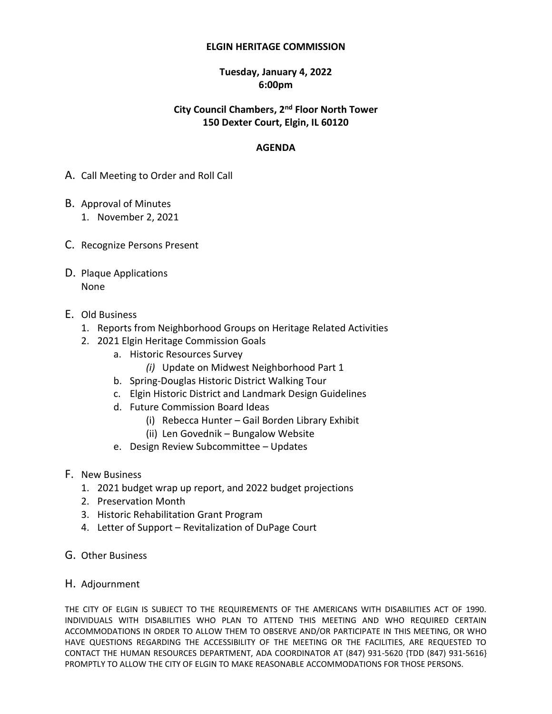#### **ELGIN HERITAGE COMMISSION**

#### **Tuesday, January 4, 2022 6:00pm**

### **City Council Chambers, 2 nd Floor North Tower 150 Dexter Court, Elgin, IL 60120**

#### **AGENDA**

- A. Call Meeting to Order and Roll Call
- B. Approval of Minutes 1. November 2, 2021
- C. Recognize Persons Present
- D. Plaque Applications None
- E. Old Business
	- 1. Reports from Neighborhood Groups on Heritage Related Activities
	- 2. 2021 Elgin Heritage Commission Goals
		- a. Historic Resources Survey
			- *(i)* Update on Midwest Neighborhood Part 1
		- b. Spring-Douglas Historic District Walking Tour
		- c. Elgin Historic District and Landmark Design Guidelines
		- d. Future Commission Board Ideas
			- (i) Rebecca Hunter Gail Borden Library Exhibit
			- (ii) Len Govednik Bungalow Website
		- e. Design Review Subcommittee Updates
- F. New Business
	- 1. 2021 budget wrap up report, and 2022 budget projections
	- 2. Preservation Month
	- 3. Historic Rehabilitation Grant Program
	- 4. Letter of Support Revitalization of DuPage Court
- G. Other Business
- H. Adjournment

THE CITY OF ELGIN IS SUBJECT TO THE REQUIREMENTS OF THE AMERICANS WITH DISABILITIES ACT OF 1990. INDIVIDUALS WITH DISABILITIES WHO PLAN TO ATTEND THIS MEETING AND WHO REQUIRED CERTAIN ACCOMMODATIONS IN ORDER TO ALLOW THEM TO OBSERVE AND/OR PARTICIPATE IN THIS MEETING, OR WHO HAVE QUESTIONS REGARDING THE ACCESSIBILITY OF THE MEETING OR THE FACILITIES, ARE REQUESTED TO CONTACT THE HUMAN RESOURCES DEPARTMENT, ADA COORDINATOR AT (847) 931-5620 {TDD (847) 931-5616} PROMPTLY TO ALLOW THE CITY OF ELGIN TO MAKE REASONABLE ACCOMMODATIONS FOR THOSE PERSONS.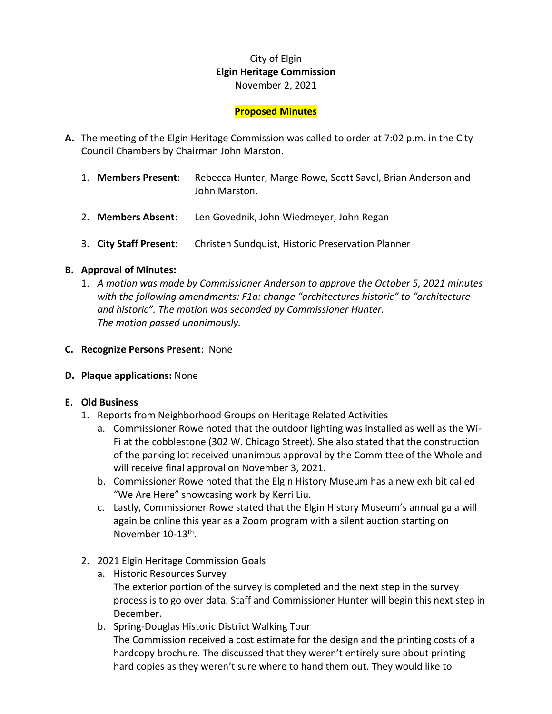# City of Elgin **Elgin Heritage Commission** November 2, 2021

### **Proposed Minutes**

- **A.** The meeting of the Elgin Heritage Commission was called to order at 7:02 p.m. in the City Council Chambers by Chairman John Marston.
	- 1. **Members Present**: Rebecca Hunter, Marge Rowe, Scott Savel, Brian Anderson and John Marston.
	- 2. **Members Absent**: Len Govednik, John Wiedmeyer, John Regan
	- 3. **City Staff Present**: Christen Sundquist, Historic Preservation Planner

#### **B. Approval of Minutes:**

- 1. *A motion was made by Commissioner Anderson to approve the October 5, 2021 minutes with the following amendments: F1a: change "architectures historic" to "architecture and historic". The motion was seconded by Commissioner Hunter. The motion passed unanimously.*
- **C. Recognize Persons Present**: None

#### **D. Plaque applications:** None

#### **E. Old Business**

- 1. Reports from Neighborhood Groups on Heritage Related Activities
	- a. Commissioner Rowe noted that the outdoor lighting was installed as well as the Wi-Fi at the cobblestone (302 W. Chicago Street). She also stated that the construction of the parking lot received unanimous approval by the Committee of the Whole and will receive final approval on November 3, 2021.
	- b. Commissioner Rowe noted that the Elgin History Museum has a new exhibit called "We Are Here" showcasing work by Kerri Liu.
	- c. Lastly, Commissioner Rowe stated that the Elgin History Museum's annual gala will again be online this year as a Zoom program with a silent auction starting on November 10-13<sup>th</sup>.
- 2. 2021 Elgin Heritage Commission Goals
	- a. Historic Resources Survey The exterior portion of the survey is completed and the next step in the survey process is to go over data. Staff and Commissioner Hunter will begin this next step in December.
	- b. Spring-Douglas Historic District Walking Tour The Commission received a cost estimate for the design and the printing costs of a hardcopy brochure. The discussed that they weren't entirely sure about printing hard copies as they weren't sure where to hand them out. They would like to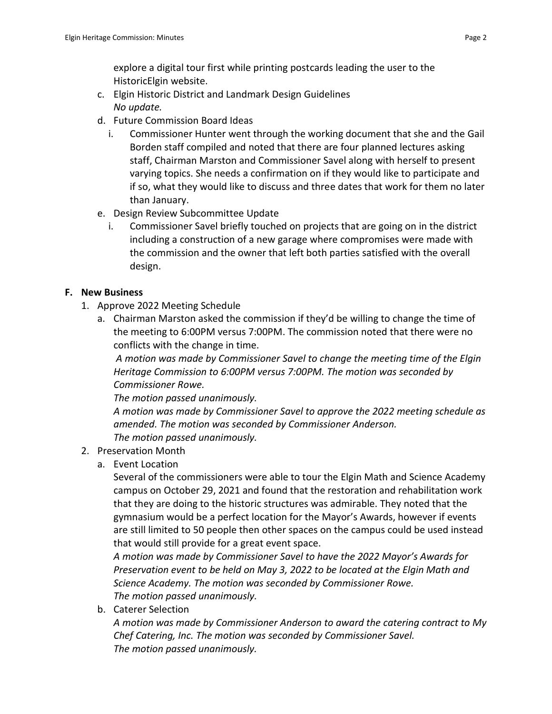- c. Elgin Historic District and Landmark Design Guidelines *No update.*
- d. Future Commission Board Ideas
	- i. Commissioner Hunter went through the working document that she and the Gail Borden staff compiled and noted that there are four planned lectures asking staff, Chairman Marston and Commissioner Savel along with herself to present varying topics. She needs a confirmation on if they would like to participate and if so, what they would like to discuss and three dates that work for them no later than January.
- e. Design Review Subcommittee Update
	- i. Commissioner Savel briefly touched on projects that are going on in the district including a construction of a new garage where compromises were made with the commission and the owner that left both parties satisfied with the overall design.

# **F. New Business**

- 1. Approve 2022 Meeting Schedule
	- a. Chairman Marston asked the commission if they'd be willing to change the time of the meeting to 6:00PM versus 7:00PM. The commission noted that there were no conflicts with the change in time.

*A motion was made by Commissioner Savel to change the meeting time of the Elgin Heritage Commission to 6:00PM versus 7:00PM. The motion was seconded by Commissioner Rowe.* 

*The motion passed unanimously.*

*A motion was made by Commissioner Savel to approve the 2022 meeting schedule as amended. The motion was seconded by Commissioner Anderson. The motion passed unanimously.*

- 2. Preservation Month
	- a. Event Location

Several of the commissioners were able to tour the Elgin Math and Science Academy campus on October 29, 2021 and found that the restoration and rehabilitation work that they are doing to the historic structures was admirable. They noted that the gymnasium would be a perfect location for the Mayor's Awards, however if events are still limited to 50 people then other spaces on the campus could be used instead that would still provide for a great event space.

*A motion was made by Commissioner Savel to have the 2022 Mayor's Awards for Preservation event to be held on May 3, 2022 to be located at the Elgin Math and Science Academy. The motion was seconded by Commissioner Rowe. The motion passed unanimously.*

b. Caterer Selection

*A motion was made by Commissioner Anderson to award the catering contract to My Chef Catering, Inc. The motion was seconded by Commissioner Savel. The motion passed unanimously.*